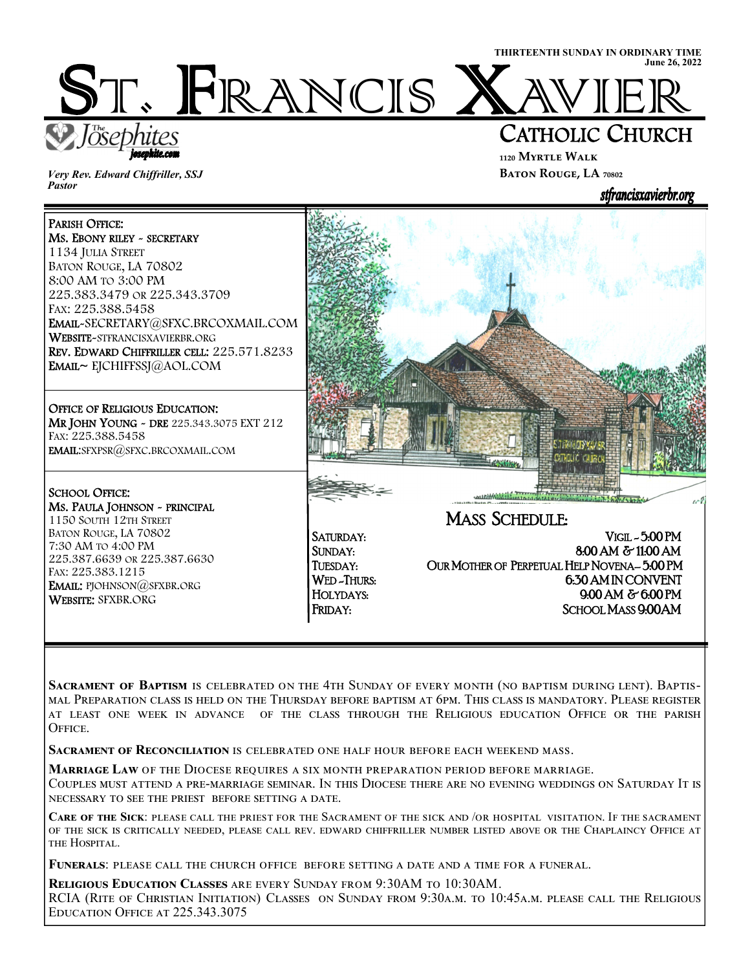ST. FRANCIS X

iosephite.com

*Very Rev. Edward Chiffriller, SSJ Pastor* 

İ

L

í

## CATHOLIC CHURCH

**THIRTEENTH SUNDAY IN ORDINARY TIME** 

**June 26, 2022**

**₁₁₂₀ Myrtle Walk BATON ROUGE, LA** 70802



SACRAMENT OF BAPTISM IS CELEBRATED ON THE 4TH SUNDAY OF EVERY MONTH (NO BAPTISM DURING LENT). BAPTIS-MAL PREPARATION CLASS IS HELD ON THE THURSDAY BEFORE BAPTISM AT 6PM. THIS CLASS IS MANDATORY. PLEASE REGISTER AT LEAST ONE WEEK IN ADVANCE OF THE CLASS THROUGH THE RELIGIOUS EDUCATION OFFICE OR THE PARISH OFFICE.

**SACRAMENT OF RECONCILIATION IS CELEBRATED ONE HALF HOUR BEFORE EACH WEEKEND MASS.** 

**MARRIAGE LAW OF THE DIOCESE REQUIRES A SIX MONTH PREPARATION PERIOD BEFORE MARRIAGE.** 

COUPLES MUST ATTEND A PRE-MARRIAGE SEMINAR. IN THIS DIOCESE THERE ARE NO EVENING WEDDINGS ON SATURDAY IT IS NECESSARY TO SEE THE PRIEST BEFORE SETTING A DATE.

**CARE OF THE SICK: PLEASE** CALL THE PRIEST FOR THE SACRAMENT OF THE SICK AND /OR HOSPITAL VISITATION. IF THE SACRAMENT OF THE SICK IS CRITICALLY NEEDED, PLEASE CALL REV. EDWARD CHIFFRILLER NUMBER LISTED ABOVE OR THE CHAPLAINCY OFFICE AT THE HOSPITAL.

FUNERALS: PLEASE CALL THE CHURCH OFFICE BEFORE SETTING A DATE AND A TIME FOR A FUNERAL.

**RELIGIOUS EDUCATION CLASSES** ARE EVERY SUNDAY FROM 9:30AM TO 10:30AM. RCIA (RITE OF CHRISTIAN INITIATION) CLASSES ON SUNDAY FROM 9:30A.M. TO 10:45A.M. PLEASE CALL THE RELIGIOUS EDUCATION OFFICE AT 225.343.3075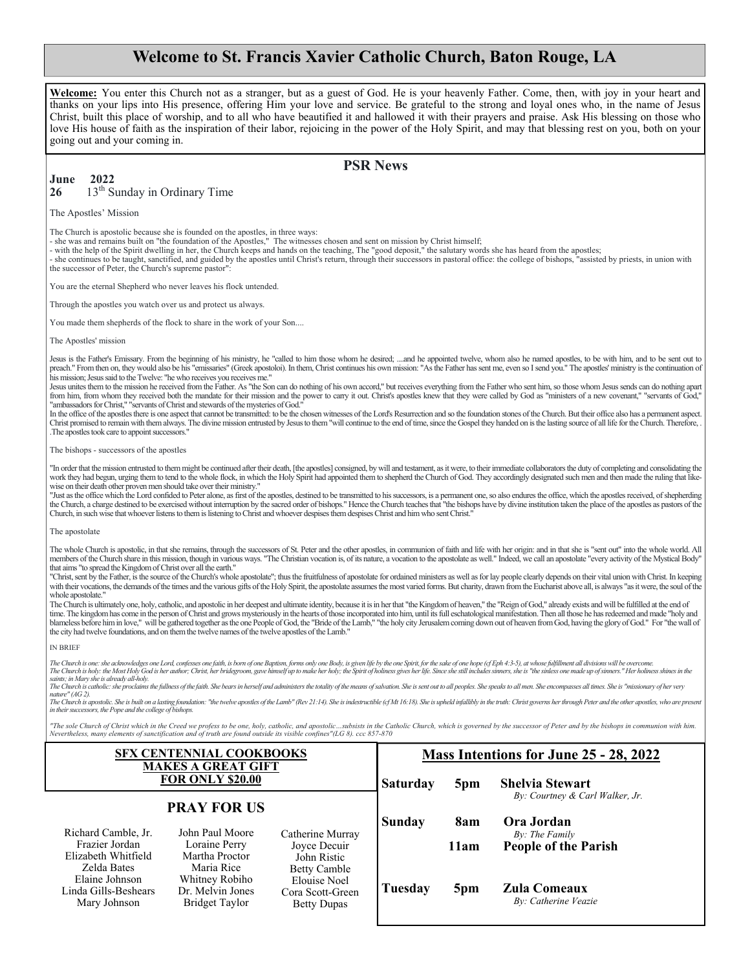### **Welcome to St. Francis Xavier Catholic Church, Baton Rouge, LA**

**Welcome:** You enter this Church not as a stranger, but as a guest of God. He is your heavenly Father. Come, then, with joy in your heart and thanks on your lips into His presence, offering Him your love and service. Be grateful to the strong and loyal ones who, in the name of Jesus Christ, built this place of worship, and to all who have beautified it and hallowed it with their prayers and praise. Ask His blessing on those who love His house of faith as the inspiration of their labor, rejoicing in the power of the Holy Spirit, and may that blessing rest on you, both on your going out and your coming in.

#### **PSR News**

#### **June 2022 26** 13th Sunday in Ordinary Time

The Apostles' Mission

The Church is apostolic because she is founded on the apostles, in three ways:

- she was and remains built on "the foundation of the Apostles," The witnesses chosen and sent on mission by Christ himself;

- with the help of the Spirit dwelling in her, the Church keeps and hands on the teaching, The "good deposit," the salutary words she has heard from the apostles;

- she continues to be taught, sanctified, and guided by the apostles until Christ's return, through their successors in pastoral office: the college of bishops, "assisted by priests, in union with<br>the successor of Peter, t

You are the eternal Shepherd who never leaves his flock untended.

Through the apostles you watch over us and protect us always.

You made them shepherds of the flock to share in the work of your Son....

The Anostles' mission

Jesus is the Father's Emissary. From the beginning of his ministry, he "called to him those whom he desired; ....and he appointed twelve, whom also he named apostles, to be with him, and to be sent out to preach." From then on, they would also be his "emissaries" (Greek apostoloi). In them, Christ continues his own mission: "As the Father has sent me, even so I send you." The apostles' ministry is the continuation of his mission; Jesus said to the Twelve: "he who receives you receives me."

Jesus unites them to the mission he received from the Father. As "the Son can do nothing of his own accord," but receives everything from the Father who sent him, so those whom Jesus sends can do nothing apart from him, from whom they received both the mandate for their mission and the power to carry it out. Christ's apostles knew that they were called by God as "ministers of a new covenant," "servants of God," "ambassadors for Christ," "servants of Christ and stewards of the mysteries of God."

In the office of the apostles there is one aspect that cannot be transmitted: to be the chosen witnesses of the Lord's Resurrection and so the foundation stones of the Church. But their office also has a permanent aspect. Christ promised to remain with them always. The divine mission entrusted by Jesus to them "will continue to the end of time, since the Gospel they handed on is the lasting source of all life for the Church. Therefore, . .The apostles took care to appoint successors."

#### The bishops - successors of the apostles

"In order that the mission entrusted to them might be continued after their death, [the apostles] consigned, by will and testament, as it were, to their immediate collaborators the duty of completing and consolidating the work they had begun, urging them to tend to the whole flock, in which the Holy Spirit had appointed them to shepherd the Church of God. They accordingly designated such men and then made the ruling that likewise on their death other proven men should take over their ministry."<br>"Just as the office which the Lord confided to Peter alone, as first of the apostles, destined to be transmitted to his successors, is a permanent one,

the Church, a charge destined to be exercised without interruption by the sacred order of bishops." Hence the Church teaches that "the bishops have by divine institution taken the place of the apostles as pastors of the Church, in such wise that whoever listens to them is listening to Christ and whoever despises them despises Christ and him who sent Christ."

#### The apostolate

The whole Church is apostolic, in that she remains, through the successors of St. Peter and the other apostles, in communion of faith and life with her origin: and in that she is "sent out" into the whole world. All members of the Church share in this mission, though in various ways. "The Christian vocation is, of its nature, a vocation to the apostolate as well." Indeed, we call an apostolate "every activity of the Mystical Body" that aims "to spread the Kingdom of Christ over all the earth."

"Christ, sent by the Father, is the source of the Church's whole apostolate"; thus the fruitfulness of apostolate for ordained ministers as well as for lay people clearly depends on their vital union with Christ. In keepin with their vocations, the demands of the times and the various gifts of the Holy Spirit, the apostolate assumes the most varied forms. But charity, drawn from the Eucharist above all, is always "as it were, the soul of the whole apostolate."

The Church is ultimately one, holy, catholic, and apostolic in her deepest and ultimate identity, because it is in her that "the Kingdom of heaven," the "Reign of God," already exists and will be fulfilled at the end of time. The kingdom has come in the person of Christ and grows mysteriously in the hearts of those incorporated into him, until its full eschatological manifestation. Then all those he has redeemed and made "holy and blamele the city had twelve foundations, and on them the twelve names of the twelve apostles of the Lamb."

#### IN BRIEF

The Church is one: she acknowledges one Lord, confesses one faith, is born of one Baptism, forms only one Body, is given life by the one Spirit, for the sake of one hope (cf Eph 4:3-5), at whose fulfillment all divisions w

saints; in Mary she is already all-holy.<br>The Church is catholic: she proclaims the fullness of the faith. She bears in herself and administers the totality of the means of salvation. She is sent out to all peoples. She spe

naure (AO 2).<br>The Church is apostolic. She is built on a lasting foundation: "the twelve apostles of the Lamb" (Rev 21:14). She is indestructible (cf Mt 16:18). She is upheld infallibly in the truth: Christ governs her thr *in their successors, the Pope and the college of bishops.*

"The sole Church of Christ which in the Creed we profess to be one, holy, catholic, and apostolic ...subsists in the Catholic Church, which is governed by the successor of Peter and by the bishops in communion with him.<br>Ne

| SFX CENTENNIAL COOKBOOKS<br><b>MAKES A GREAT GIFT</b><br><b>FOR ONLY \$20.00</b> |                                                                    |                                                                               | Mass Intentions for June 25 - 28, 2022 |      |                                                           |
|----------------------------------------------------------------------------------|--------------------------------------------------------------------|-------------------------------------------------------------------------------|----------------------------------------|------|-----------------------------------------------------------|
|                                                                                  |                                                                    |                                                                               | <b>Saturday</b>                        | 5pm  | <b>Shelvia Stewart</b><br>By: Courtney & Carl Walker, Jr. |
| <b>PRAY FOR US</b>                                                               |                                                                    |                                                                               | <b>Sunday</b>                          | 8am  | Ora Jordan                                                |
| Richard Camble, Jr.<br>Frazier Jordan<br>Elizabeth Whitfield                     | John Paul Moore<br>Loraine Perry<br>Martha Proctor                 | Catherine Murray<br>Joyce Decuir<br>John Ristic                               |                                        | 11am | By: The Family<br><b>People of the Parish</b>             |
| Zelda Bates<br>Elaine Johnson<br>Linda Gills-Beshears<br>Mary Johnson            | Maria Rice<br>Whitney Robiho<br>Dr. Melvin Jones<br>Bridget Taylor | <b>Betty Camble</b><br>Elouise Noel<br>Cora Scott-Green<br><b>Betty Dupas</b> | Tuesday                                | 5pm  | <b>Zula Comeaux</b><br>By: Catherine Veazie               |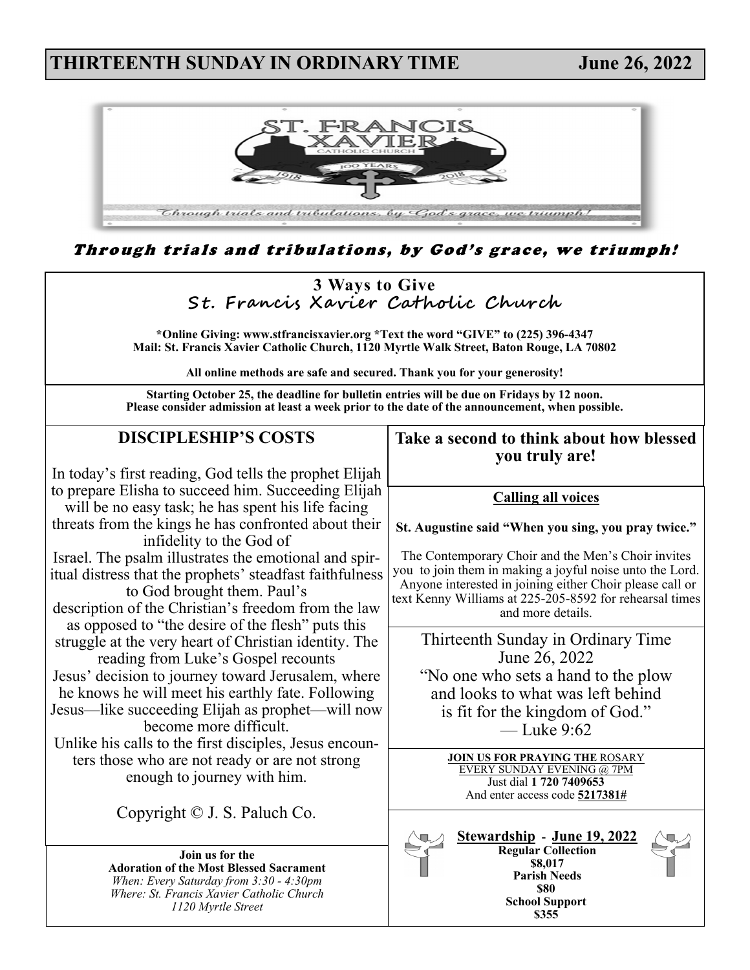### **THIRTEENTH SUNDAY IN ORDINARY TIME June 26, 2022**



Through trials and tribulations, by God's grace, we triumph!